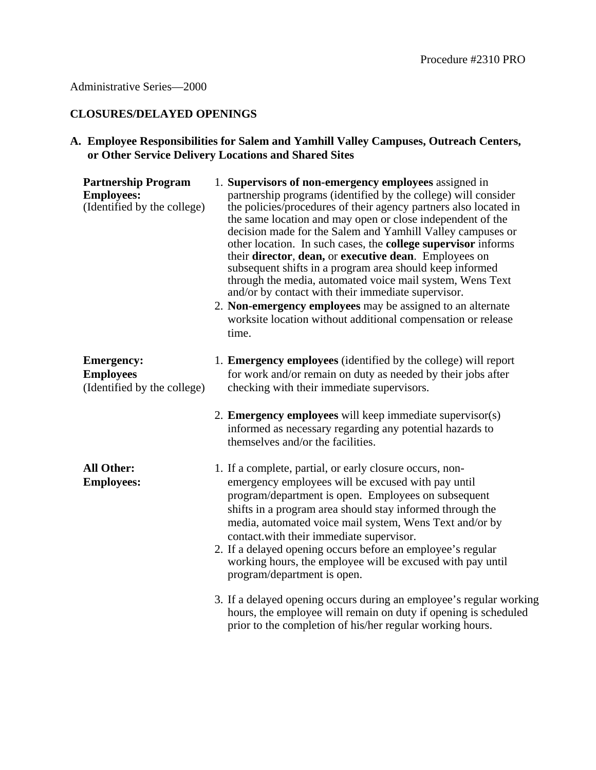### **CLOSURES/DELAYED OPENINGS**

## **A. Employee Responsibilities for Salem and Yamhill Valley Campuses, Outreach Centers, or Other Service Delivery Locations and Shared Sites**

| <b>Partnership Program</b><br><b>Employees:</b><br>(Identified by the college) | 1. Supervisors of non-emergency employees assigned in<br>partnership programs (identified by the college) will consider<br>the policies/procedures of their agency partners also located in<br>the same location and may open or close independent of the<br>decision made for the Salem and Yamhill Valley campuses or<br>other location. In such cases, the <b>college supervisor</b> informs<br>their director, dean, or executive dean. Employees on<br>subsequent shifts in a program area should keep informed<br>through the media, automated voice mail system, Wens Text<br>and/or by contact with their immediate supervisor.<br>2. Non-emergency employees may be assigned to an alternate<br>worksite location without additional compensation or release<br>time. |
|--------------------------------------------------------------------------------|--------------------------------------------------------------------------------------------------------------------------------------------------------------------------------------------------------------------------------------------------------------------------------------------------------------------------------------------------------------------------------------------------------------------------------------------------------------------------------------------------------------------------------------------------------------------------------------------------------------------------------------------------------------------------------------------------------------------------------------------------------------------------------|
| <b>Emergency:</b><br><b>Employees</b><br>(Identified by the college)           | 1. Emergency employees (identified by the college) will report<br>for work and/or remain on duty as needed by their jobs after<br>checking with their immediate supervisors.                                                                                                                                                                                                                                                                                                                                                                                                                                                                                                                                                                                                   |
|                                                                                | 2. Emergency employees will keep immediate supervisor(s)<br>informed as necessary regarding any potential hazards to<br>themselves and/or the facilities.                                                                                                                                                                                                                                                                                                                                                                                                                                                                                                                                                                                                                      |
| <b>All Other:</b><br><b>Employees:</b>                                         | 1. If a complete, partial, or early closure occurs, non-<br>emergency employees will be excused with pay until<br>program/department is open. Employees on subsequent<br>shifts in a program area should stay informed through the<br>media, automated voice mail system, Wens Text and/or by<br>contact.with their immediate supervisor.<br>2. If a delayed opening occurs before an employee's regular<br>working hours, the employee will be excused with pay until<br>program/department is open.                                                                                                                                                                                                                                                                          |
|                                                                                | 3. If a delayed opening occurs during an employee's regular working<br>hours, the employee will remain on duty if opening is scheduled<br>prior to the completion of his/her regular working hours.                                                                                                                                                                                                                                                                                                                                                                                                                                                                                                                                                                            |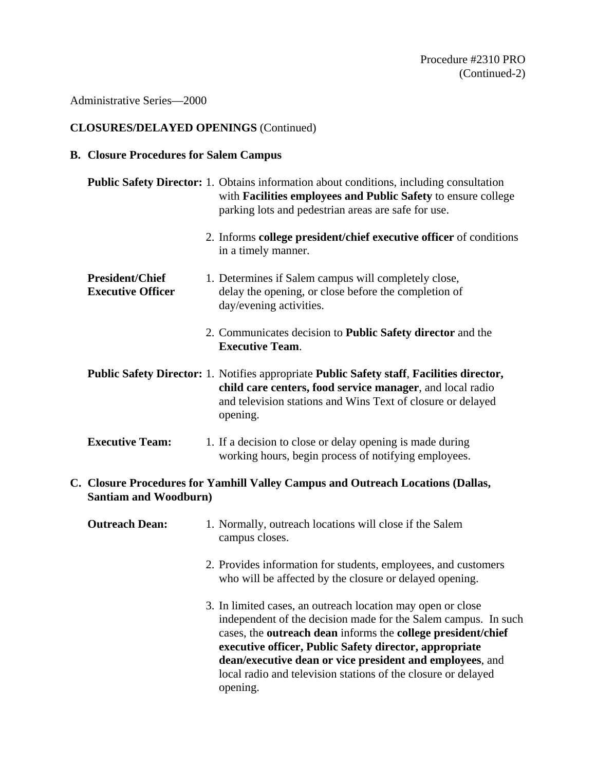Administrative Series—2000

# **CLOSURES/DELAYED OPENINGS** (Continued)

## **B. Closure Procedures for Salem Campus**

|                                                                                                                 |                                                    |  | <b>Public Safety Director:</b> 1. Obtains information about conditions, including consultation<br>with Facilities employees and Public Safety to ensure college<br>parking lots and pedestrian areas are safe for use.                                                                                                                                                               |
|-----------------------------------------------------------------------------------------------------------------|----------------------------------------------------|--|--------------------------------------------------------------------------------------------------------------------------------------------------------------------------------------------------------------------------------------------------------------------------------------------------------------------------------------------------------------------------------------|
|                                                                                                                 |                                                    |  | 2. Informs college president/chief executive officer of conditions<br>in a timely manner.                                                                                                                                                                                                                                                                                            |
|                                                                                                                 | <b>President/Chief</b><br><b>Executive Officer</b> |  | 1. Determines if Salem campus will completely close,<br>delay the opening, or close before the completion of<br>day/evening activities.                                                                                                                                                                                                                                              |
|                                                                                                                 |                                                    |  | 2. Communicates decision to <b>Public Safety director</b> and the<br><b>Executive Team.</b>                                                                                                                                                                                                                                                                                          |
|                                                                                                                 |                                                    |  | Public Safety Director: 1. Notifies appropriate Public Safety staff, Facilities director,<br>child care centers, food service manager, and local radio<br>and television stations and Wins Text of closure or delayed<br>opening.                                                                                                                                                    |
|                                                                                                                 | <b>Executive Team:</b>                             |  | 1. If a decision to close or delay opening is made during<br>working hours, begin process of notifying employees.                                                                                                                                                                                                                                                                    |
| C. Closure Procedures for Yamhill Valley Campus and Outreach Locations (Dallas,<br><b>Santiam and Woodburn)</b> |                                                    |  |                                                                                                                                                                                                                                                                                                                                                                                      |
|                                                                                                                 | <b>Outreach Dean:</b>                              |  | 1. Normally, outreach locations will close if the Salem<br>campus closes.                                                                                                                                                                                                                                                                                                            |
|                                                                                                                 |                                                    |  | 2. Provides information for students, employees, and customers<br>who will be affected by the closure or delayed opening.                                                                                                                                                                                                                                                            |
|                                                                                                                 |                                                    |  | 3. In limited cases, an outreach location may open or close<br>independent of the decision made for the Salem campus. In such<br>cases, the outreach dean informs the college president/chief<br>executive officer, Public Safety director, appropriate<br>dean/executive dean or vice president and employees, and<br>local radio and television stations of the closure or delayed |

opening.